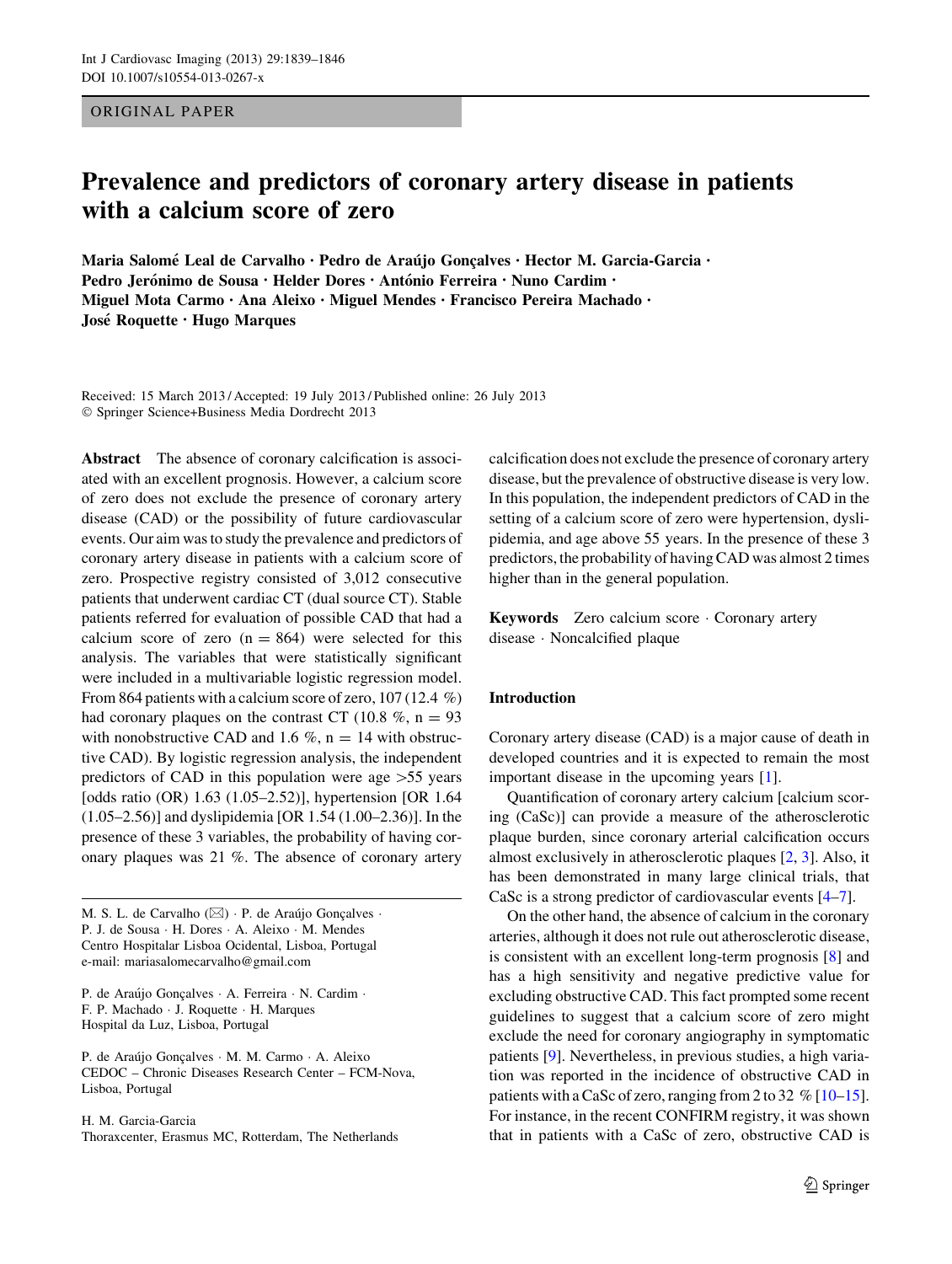ORIGINAL PAPER

# Prevalence and predictors of coronary artery disease in patients with a calcium score of zero

Maria Salomé Leal de Carvalho · Pedro de Araújo Goncalves · Hector M. Garcia-Garcia · Pedro Jerónimo de Sousa · Helder Dores · António Ferreira · Nuno Cardim · Miguel Mota Carmo • Ana Aleixo • Miguel Mendes • Francisco Pereira Machado • Jose´ Roquette • Hugo Marques

Received: 15 March 2013 / Accepted: 19 July 2013 / Published online: 26 July 2013 - Springer Science+Business Media Dordrecht 2013

Abstract The absence of coronary calcification is associated with an excellent prognosis. However, a calcium score of zero does not exclude the presence of coronary artery disease (CAD) or the possibility of future cardiovascular events. Our aim was to study the prevalence and predictors of coronary artery disease in patients with a calcium score of zero. Prospective registry consisted of 3,012 consecutive patients that underwent cardiac CT (dual source CT). Stable patients referred for evaluation of possible CAD that had a calcium score of zero  $(n = 864)$  were selected for this analysis. The variables that were statistically significant were included in a multivariable logistic regression model. From 864 patients with a calcium score of zero, 107 (12.4 %) had coronary plaques on the contrast CT (10.8  $\%$ , n = 93 with nonobstructive CAD and 1.6 %,  $n = 14$  with obstructive CAD). By logistic regression analysis, the independent predictors of CAD in this population were age  $>55$  years [odds ratio (OR) 1.63 (1.05–2.52)], hypertension [OR 1.64 (1.05–2.56)] and dyslipidemia [OR 1.54 (1.00–2.36)]. In the presence of these 3 variables, the probability of having coronary plaques was 21 %. The absence of coronary artery

M. S. L. de Carvalho ( $\boxtimes$ ) · P. de Araújo Gonçalves · P. J. de Sousa - H. Dores - A. Aleixo - M. Mendes Centro Hospitalar Lisboa Ocidental, Lisboa, Portugal e-mail: mariasalomecarvalho@gmail.com

P. de Araújo Gonçalves · A. Ferreira · N. Cardim · F. P. Machado - J. Roquette - H. Marques Hospital da Luz, Lisboa, Portugal

P. de Araújo Gonçalves · M. M. Carmo · A. Aleixo CEDOC – Chronic Diseases Research Center – FCM-Nova, Lisboa, Portugal

H. M. Garcia-Garcia Thoraxcenter, Erasmus MC, Rotterdam, The Netherlands calcification does not exclude the presence of coronary artery disease, but the prevalence of obstructive disease is very low. In this population, the independent predictors of CAD in the setting of a calcium score of zero were hypertension, dyslipidemia, and age above 55 years. In the presence of these 3 predictors, the probability of having CAD was almost 2 times higher than in the general population.

Keywords Zero calcium score - Coronary artery disease - Noncalcified plaque

#### Introduction

Coronary artery disease (CAD) is a major cause of death in developed countries and it is expected to remain the most important disease in the upcoming years [\[1](#page-6-0)].

Quantification of coronary artery calcium [calcium scoring (CaSc)] can provide a measure of the atherosclerotic plaque burden, since coronary arterial calcification occurs almost exclusively in atherosclerotic plaques [[2,](#page-6-0) [3\]](#page-6-0). Also, it has been demonstrated in many large clinical trials, that CaSc is a strong predictor of cardiovascular events [\[4–7](#page-6-0)].

On the other hand, the absence of calcium in the coronary arteries, although it does not rule out atherosclerotic disease, is consistent with an excellent long-term prognosis [[8\]](#page-6-0) and has a high sensitivity and negative predictive value for excluding obstructive CAD. This fact prompted some recent guidelines to suggest that a calcium score of zero might exclude the need for coronary angiography in symptomatic patients [\[9](#page-6-0)]. Nevertheless, in previous studies, a high variation was reported in the incidence of obstructive CAD in patients with a CaSc of zero, ranging from 2 to 32 % [\[10–15](#page-6-0)]. For instance, in the recent CONFIRM registry, it was shown that in patients with a CaSc of zero, obstructive CAD is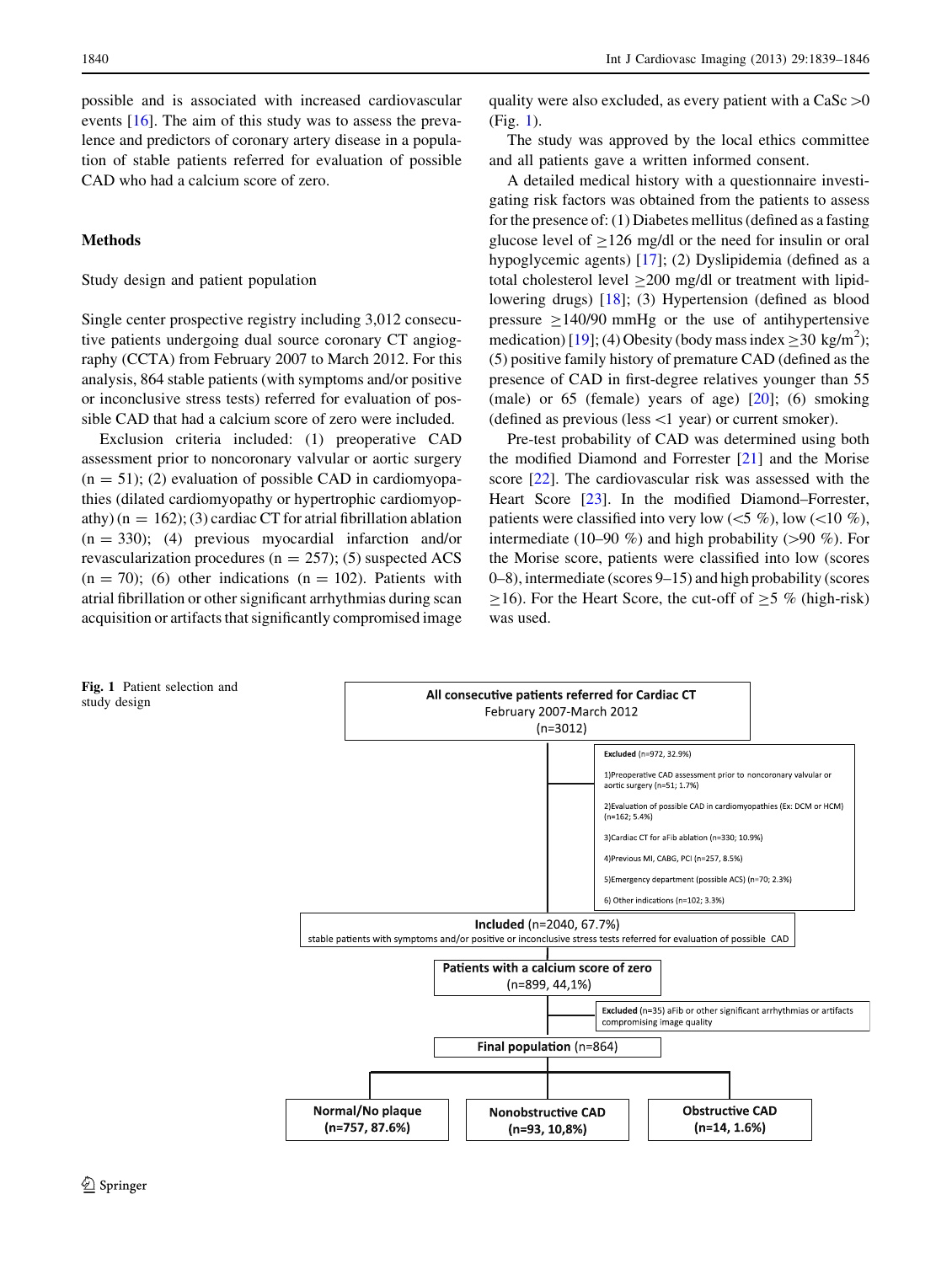possible and is associated with increased cardiovascular events [[16\]](#page-6-0). The aim of this study was to assess the prevalence and predictors of coronary artery disease in a population of stable patients referred for evaluation of possible CAD who had a calcium score of zero.

### Methods

#### Study design and patient population

Single center prospective registry including 3,012 consecutive patients undergoing dual source coronary CT angiography (CCTA) from February 2007 to March 2012. For this analysis, 864 stable patients (with symptoms and/or positive or inconclusive stress tests) referred for evaluation of possible CAD that had a calcium score of zero were included.

Exclusion criteria included: (1) preoperative CAD assessment prior to noncoronary valvular or aortic surgery  $(n = 51)$ ; (2) evaluation of possible CAD in cardiomyopathies (dilated cardiomyopathy or hypertrophic cardiomyopathy)  $(n = 162)$ ; (3) cardiac CT for atrial fibrillation ablation  $(n = 330)$ ; (4) previous myocardial infarction and/or revascularization procedures ( $n = 257$ ); (5) suspected ACS  $(n = 70)$ ; (6) other indications  $(n = 102)$ . Patients with atrial fibrillation or other significant arrhythmias during scan acquisition or artifacts that significantly compromised image

quality were also excluded, as every patient with a CaSc  $>0$ (Fig. 1).

The study was approved by the local ethics committee and all patients gave a written informed consent.

A detailed medical history with a questionnaire investigating risk factors was obtained from the patients to assess for the presence of: (1) Diabetes mellitus (defined as a fasting glucose level of  $>126$  mg/dl or the need for insulin or oral hypoglycemic agents) [\[17](#page-6-0)]; (2) Dyslipidemia (defined as a total cholesterol level  $\geq$ 200 mg/dl or treatment with lipidlowering drugs) [[18\]](#page-6-0); (3) Hypertension (defined as blood pressure  $\geq$ 140/90 mmHg or the use of antihypertensive medication) [\[19](#page-6-0)]; (4) Obesity (body mass index  $\geq$  30 kg/m<sup>2</sup>); (5) positive family history of premature CAD (defined as the presence of CAD in first-degree relatives younger than 55 (male) or 65 (female) years of age)  $[20]$  $[20]$  $[20]$ ; (6) smoking (defined as previous (less  $\leq 1$  year) or current smoker).

Pre-test probability of CAD was determined using both the modified Diamond and Forrester [\[21](#page-6-0)] and the Morise score [\[22](#page-7-0)]. The cardiovascular risk was assessed with the Heart Score [[23\]](#page-7-0). In the modified Diamond–Forrester, patients were classified into very low ( $\lt 5 \%$ ), low ( $\lt 10 \%$ ), intermediate (10–90 %) and high probability ( $>90$  %). For the Morise score, patients were classified into low (scores 0–8), intermediate (scores 9–15) and high probability (scores  $\geq$ 16). For the Heart Score, the cut-off of  $\geq$  5 % (high-risk) was used.



Fig. 1 Patient selection and study design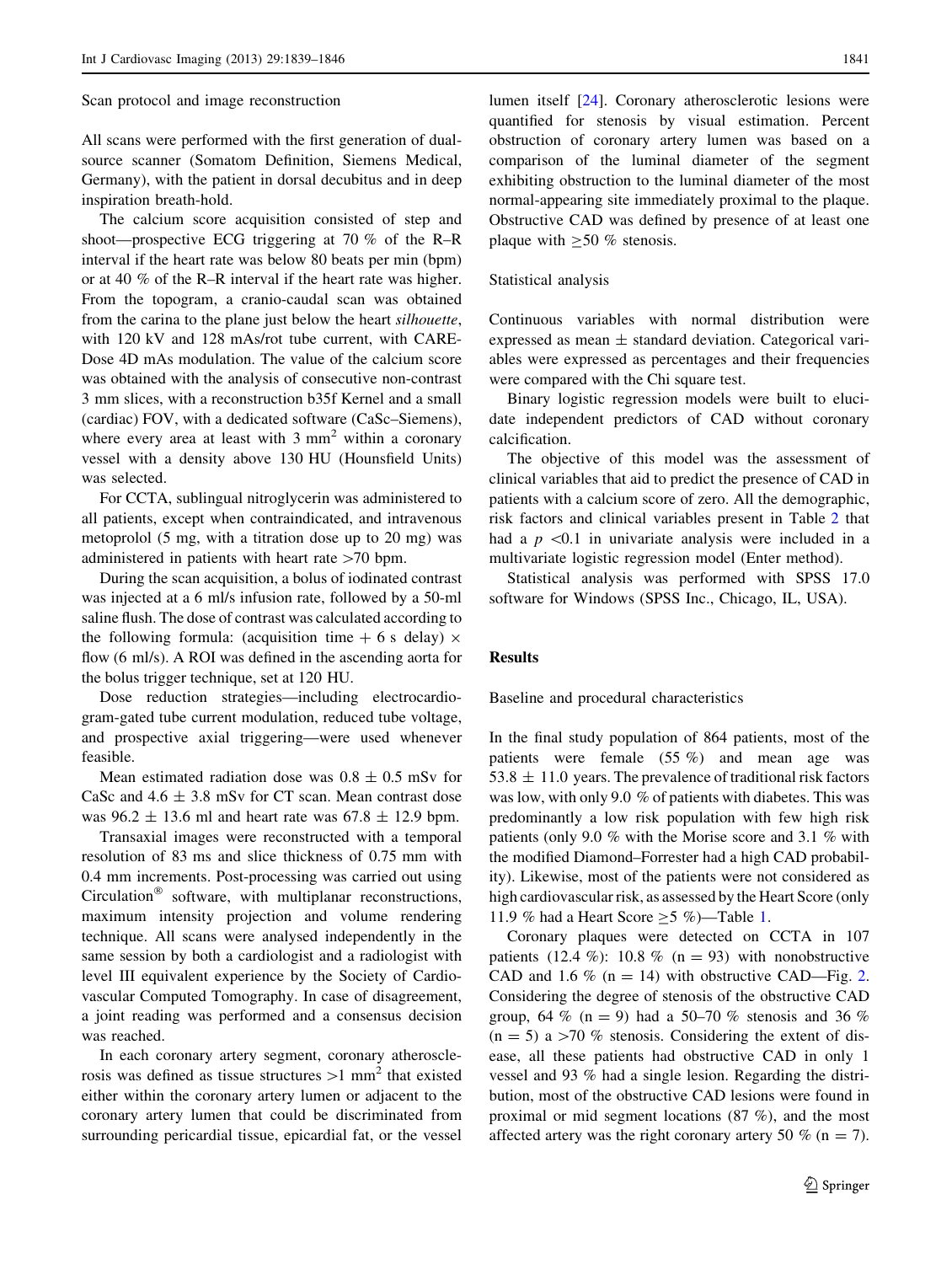Scan protocol and image reconstruction

All scans were performed with the first generation of dualsource scanner (Somatom Definition, Siemens Medical, Germany), with the patient in dorsal decubitus and in deep inspiration breath-hold.

The calcium score acquisition consisted of step and shoot—prospective ECG triggering at 70 % of the R–R interval if the heart rate was below 80 beats per min (bpm) or at 40 % of the R–R interval if the heart rate was higher. From the topogram, a cranio-caudal scan was obtained from the carina to the plane just below the heart silhouette, with 120 kV and 128 mAs/rot tube current, with CARE-Dose 4D mAs modulation. The value of the calcium score was obtained with the analysis of consecutive non-contrast 3 mm slices, with a reconstruction b35f Kernel and a small (cardiac) FOV, with a dedicated software (CaSc–Siemens), where every area at least with  $3 \text{ mm}^2$  within a coronary vessel with a density above 130 HU (Hounsfield Units) was selected.

For CCTA, sublingual nitroglycerin was administered to all patients, except when contraindicated, and intravenous metoprolol (5 mg, with a titration dose up to 20 mg) was administered in patients with heart rate  $>70$  bpm.

During the scan acquisition, a bolus of iodinated contrast was injected at a 6 ml/s infusion rate, followed by a 50-ml saline flush. The dose of contrast was calculated according to the following formula: (acquisition time  $+ 6$  s delay)  $\times$ flow (6 ml/s). A ROI was defined in the ascending aorta for the bolus trigger technique, set at 120 HU.

Dose reduction strategies—including electrocardiogram-gated tube current modulation, reduced tube voltage, and prospective axial triggering—were used whenever feasible.

Mean estimated radiation dose was  $0.8 \pm 0.5$  mSv for CaSc and  $4.6 \pm 3.8$  mSv for CT scan. Mean contrast dose was  $96.2 \pm 13.6$  ml and heart rate was  $67.8 \pm 12.9$  bpm.

Transaxial images were reconstructed with a temporal resolution of 83 ms and slice thickness of 0.75 mm with 0.4 mm increments. Post-processing was carried out using  $Circulation<sup>®</sup>$  software, with multiplanar reconstructions, maximum intensity projection and volume rendering technique. All scans were analysed independently in the same session by both a cardiologist and a radiologist with level III equivalent experience by the Society of Cardiovascular Computed Tomography. In case of disagreement, a joint reading was performed and a consensus decision was reached.

In each coronary artery segment, coronary atherosclerosis was defined as tissue structures  $>1$  mm<sup>2</sup> that existed either within the coronary artery lumen or adjacent to the coronary artery lumen that could be discriminated from surrounding pericardial tissue, epicardial fat, or the vessel

lumen itself [[24\]](#page-7-0). Coronary atherosclerotic lesions were quantified for stenosis by visual estimation. Percent obstruction of coronary artery lumen was based on a comparison of the luminal diameter of the segment exhibiting obstruction to the luminal diameter of the most normal-appearing site immediately proximal to the plaque. Obstructive CAD was defined by presence of at least one plaque with  $\geq 50$  % stenosis.

Statistical analysis

Continuous variables with normal distribution were expressed as mean  $\pm$  standard deviation. Categorical variables were expressed as percentages and their frequencies were compared with the Chi square test.

Binary logistic regression models were built to elucidate independent predictors of CAD without coronary calcification.

The objective of this model was the assessment of clinical variables that aid to predict the presence of CAD in patients with a calcium score of zero. All the demographic, risk factors and clinical variables present in Table [2](#page-3-0) that had a  $p \leq 0.1$  in univariate analysis were included in a multivariate logistic regression model (Enter method).

Statistical analysis was performed with SPSS 17.0 software for Windows (SPSS Inc., Chicago, IL, USA).

#### Results

Baseline and procedural characteristics

In the final study population of 864 patients, most of the patients were female (55 %) and mean age was  $53.8 \pm 11.0$  years. The prevalence of traditional risk factors was low, with only 9.0 % of patients with diabetes. This was predominantly a low risk population with few high risk patients (only 9.0 % with the Morise score and 3.1 % with the modified Diamond–Forrester had a high CAD probability). Likewise, most of the patients were not considered as high cardiovascular risk, as assessed by the Heart Score (only [1](#page-3-0)1.9 % had a Heart Score  $\geq$  5 %)—Table 1.

Coronary plaques were detected on CCTA in 107 patients (12.4 %): 10.8 % (n = 93) with nonobstructive CAD and 1.6 % ( $n = 14$ ) with obstructive CAD—Fig. [2.](#page-3-0) Considering the degree of stenosis of the obstructive CAD group, 64 % (n = 9) had a 50–70 % stenosis and 36 %  $(n = 5)$  a  $>70$  % stenosis. Considering the extent of disease, all these patients had obstructive CAD in only 1 vessel and 93 % had a single lesion. Regarding the distribution, most of the obstructive CAD lesions were found in proximal or mid segment locations (87 %), and the most affected artery was the right coronary artery 50  $\%$  (n = 7).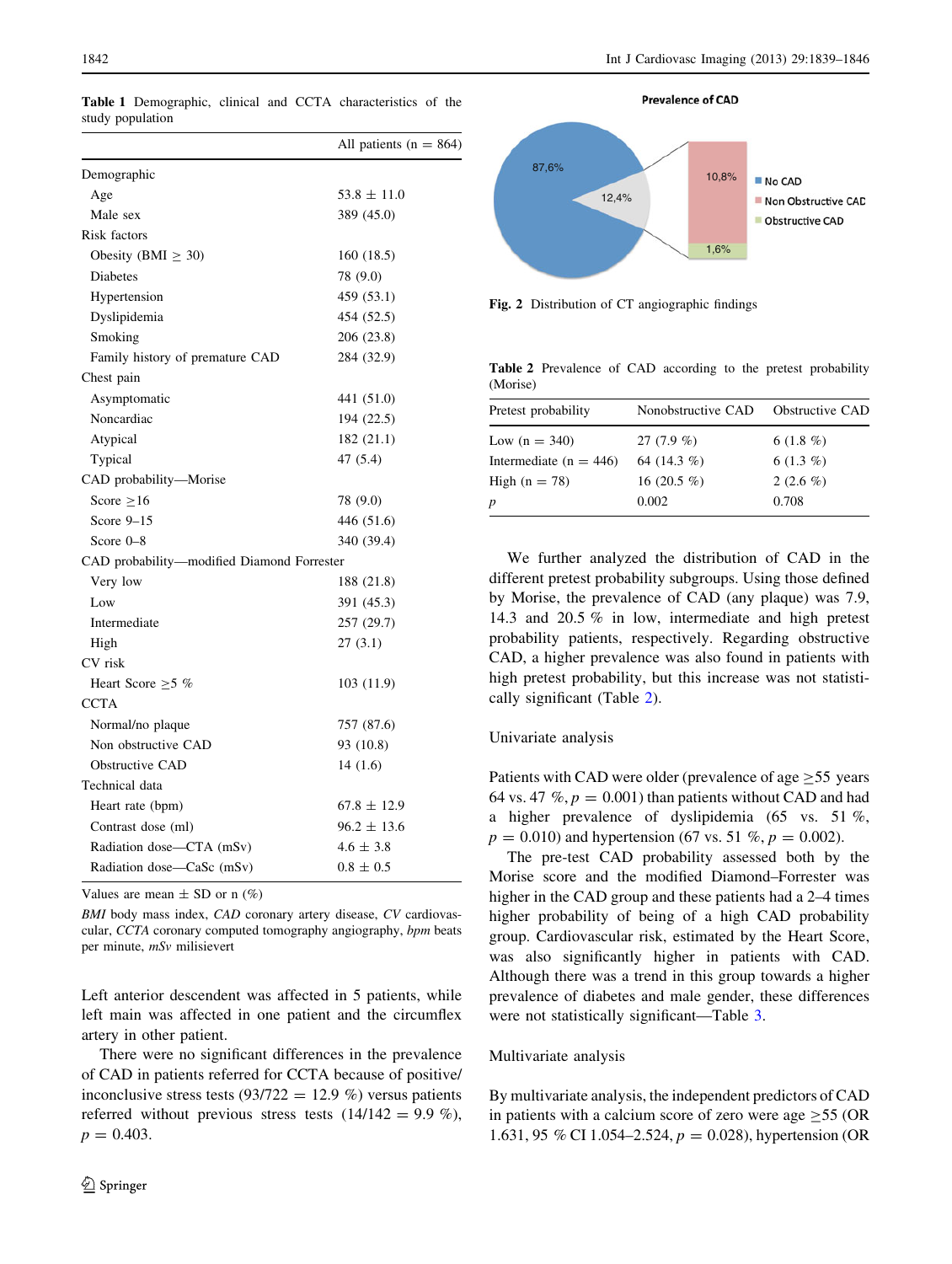|                                            | All patients ( $n = 864$ ) |
|--------------------------------------------|----------------------------|
| Demographic                                |                            |
| Age                                        | $53.8 \pm 11.0$            |
| Male sex                                   | 389 (45.0)                 |
| Risk factors                               |                            |
| Obesity (BMI $\geq$ 30)                    | 160 (18.5)                 |
| Diabetes                                   | 78 (9.0)                   |
| Hypertension                               | 459 (53.1)                 |
| Dyslipidemia                               | 454 (52.5)                 |
| Smoking                                    | 206 (23.8)                 |
| Family history of premature CAD            | 284 (32.9)                 |
| Chest pain                                 |                            |
| Asymptomatic                               | 441 (51.0)                 |
| Noncardiac                                 | 194 (22.5)                 |
| Atypical                                   | 182(21.1)                  |
| Typical                                    | 47 (5.4)                   |
| CAD probability-Morise                     |                            |
| Score $\geq 16$                            | 78 (9.0)                   |
| Score $9-15$                               | 446 (51.6)                 |
| Score $0-8$                                | 340 (39.4)                 |
| CAD probability—modified Diamond Forrester |                            |
| Very low                                   | 188 (21.8)                 |
| Low                                        | 391 (45.3)                 |
| Intermediate                               | 257 (29.7)                 |
| High                                       | 27 (3.1)                   |
| CV risk                                    |                            |
| Heart Score $\geq$ 5 %                     | 103 (11.9)                 |
| <b>CCTA</b>                                |                            |
| Normal/no plaque                           | 757 (87.6)                 |
| Non obstructive CAD                        | 93 (10.8)                  |
| Obstructive CAD                            | 14(1.6)                    |
| Technical data                             |                            |
| Heart rate (bpm)                           | $67.8 \pm 12.9$            |
| Contrast dose (ml)                         | $96.2 \pm 13.6$            |
| Radiation dose—CTA (mSv)                   | $4.6 \pm 3.8$              |
| Radiation dose-CaSc (mSv)                  | $0.8 \pm 0.5$              |

<span id="page-3-0"></span>Table 1 Demographic, clinical and CCTA characteristics of the study population

Values are mean  $\pm$  SD or n  $(\%)$ 

BMI body mass index, CAD coronary artery disease, CV cardiovascular, CCTA coronary computed tomography angiography, bpm beats per minute, mSv milisievert

Left anterior descendent was affected in 5 patients, while left main was affected in one patient and the circumflex artery in other patient.

There were no significant differences in the prevalence of CAD in patients referred for CCTA because of positive/ inconclusive stress tests  $(93/722 = 12.9\%)$  versus patients referred without previous stress tests  $(14/142 = 9.9\%)$ ,  $p = 0.403$ .



Fig. 2 Distribution of CT angiographic findings

Table 2 Prevalence of CAD according to the pretest probability (Morise)

| Pretest probability        | Nonobstructive CAD | <b>Obstructive CAD</b> |  |
|----------------------------|--------------------|------------------------|--|
| Low $(n = 340)$            | 27 $(7.9\%$        | 6 $(1.8\%)$            |  |
| Intermediate ( $n = 446$ ) | 64 $(14.3\%)$      | 6 $(1.3\%)$            |  |
| High $(n = 78)$            | 16 $(20.5\%$       | 2 $(2.6\%)$            |  |
| p                          | 0.002              | 0.708                  |  |

We further analyzed the distribution of CAD in the different pretest probability subgroups. Using those defined by Morise, the prevalence of CAD (any plaque) was 7.9, 14.3 and 20.5 % in low, intermediate and high pretest probability patients, respectively. Regarding obstructive CAD, a higher prevalence was also found in patients with high pretest probability, but this increase was not statistically significant (Table 2).

#### Univariate analysis

Patients with CAD were older (prevalence of age  $> 55$  years 64 vs. 47  $\%$ ,  $p = 0.001$ ) than patients without CAD and had a higher prevalence of dyslipidemia (65 vs. 51 %,  $p = 0.010$ ) and hypertension (67 vs. 51 %,  $p = 0.002$ ).

The pre-test CAD probability assessed both by the Morise score and the modified Diamond–Forrester was higher in the CAD group and these patients had a 2–4 times higher probability of being of a high CAD probability group. Cardiovascular risk, estimated by the Heart Score, was also significantly higher in patients with CAD. Although there was a trend in this group towards a higher prevalence of diabetes and male gender, these differences were not statistically significant—Table [3.](#page-4-0)

#### Multivariate analysis

By multivariate analysis, the independent predictors of CAD in patients with a calcium score of zero were age  $\geq$ 55 (OR 1.631, 95 % CI 1.054–2.524,  $p = 0.028$ ), hypertension (OR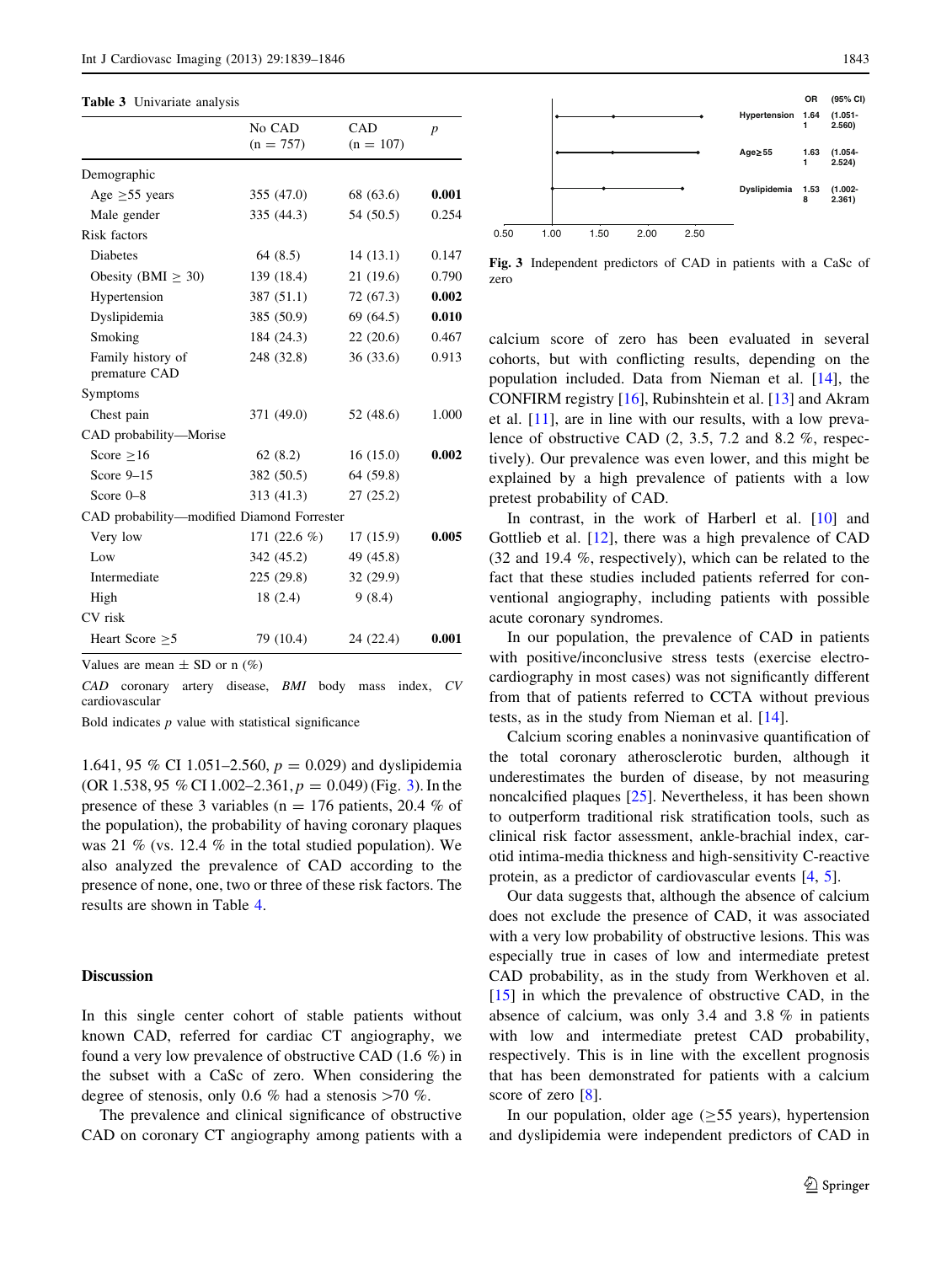<span id="page-4-0"></span>

|  | <b>Table 3</b> Univariate analysis |  |
|--|------------------------------------|--|
|--|------------------------------------|--|

|                                            | No CAD<br>$(n = 757)$ | CAD<br>$(n = 107)$ | p     |
|--------------------------------------------|-----------------------|--------------------|-------|
| Demographic                                |                       |                    |       |
| Age $\geq 55$ years                        | 355(47.0)             | 68 (63.6)          | 0.001 |
| Male gender                                | 335 (44.3)            | 54 (50.5)          | 0.254 |
| Risk factors                               |                       |                    |       |
| Diabetes                                   | 64(8.5)               | 14(13.1)           | 0.147 |
| Obesity (BMI $\geq$ 30)                    | 139 (18.4)            | 21(19.6)           | 0.790 |
| Hypertension                               | 387 (51.1)            | 72 (67.3)          | 0.002 |
| Dyslipidemia                               | 385 (50.9)            | 69 (64.5)          | 0.010 |
| Smoking                                    | 184 (24.3)            | 22(20.6)           | 0.467 |
| Family history of<br>premature CAD         | 248 (32.8)            | 36(33.6)           | 0.913 |
| Symptoms                                   |                       |                    |       |
| Chest pain                                 | 371 (49.0)            | 52 (48.6)          | 1.000 |
| CAD probability-Morise                     |                       |                    |       |
| Score $\geq 16$                            | 62(8.2)               | 16(15.0)           | 0.002 |
| Score $9-15$                               | 382 (50.5)            | 64 (59.8)          |       |
| Score $0-8$                                | 313(41.3)             | 27(25.2)           |       |
| CAD probability-modified Diamond Forrester |                       |                    |       |
| Very low                                   | 171 $(22.6 \%)$       | 17(15.9)           | 0.005 |
| Low                                        | 342 (45.2)            | 49 (45.8)          |       |
| Intermediate                               | 225(29.8)             | 32 (29.9)          |       |
| High                                       | 18(2.4)               | 9(8.4)             |       |
| CV risk                                    |                       |                    |       |
| Heart Score $\geq$ 5                       | 79 (10.4)             | 24 (22.4)          | 0.001 |

Values are mean  $\pm$  SD or n  $(\%)$ 

CAD coronary artery disease, BMI body mass index, CV cardiovascular

Bold indicates  $p$  value with statistical significance

1.641, 95 % CI 1.051–2.560,  $p = 0.029$  and dyslipidemia (OR 1.538, 95 % CI 1.002–2.361,  $p = 0.049$ ) (Fig. 3). In the presence of these 3 variables ( $n = 176$  patients, 20.4 % of the population), the probability of having coronary plaques was 21 % (vs. 12.4 % in the total studied population). We also analyzed the prevalence of CAD according to the presence of none, one, two or three of these risk factors. The results are shown in Table [4](#page-5-0).

## Discussion

In this single center cohort of stable patients without known CAD, referred for cardiac CT angiography, we found a very low prevalence of obstructive CAD (1.6 %) in the subset with a CaSc of zero. When considering the degree of stenosis, only 0.6 % had a stenosis  $>70$  %.

The prevalence and clinical significance of obstructive CAD on coronary CT angiography among patients with a



Fig. 3 Independent predictors of CAD in patients with a CaSc of zero

calcium score of zero has been evaluated in several cohorts, but with conflicting results, depending on the population included. Data from Nieman et al. [\[14](#page-6-0)], the CONFIRM registry [\[16](#page-6-0)], Rubinshtein et al. [\[13](#page-6-0)] and Akram et al. [[11\]](#page-6-0), are in line with our results, with a low prevalence of obstructive CAD (2, 3.5, 7.2 and 8.2 %, respectively). Our prevalence was even lower, and this might be explained by a high prevalence of patients with a low pretest probability of CAD.

In contrast, in the work of Harberl et al. [[10\]](#page-6-0) and Gottlieb et al. [[12\]](#page-6-0), there was a high prevalence of CAD (32 and 19.4 %, respectively), which can be related to the fact that these studies included patients referred for conventional angiography, including patients with possible acute coronary syndromes.

In our population, the prevalence of CAD in patients with positive/inconclusive stress tests (exercise electrocardiography in most cases) was not significantly different from that of patients referred to CCTA without previous tests, as in the study from Nieman et al. [[14\]](#page-6-0).

Calcium scoring enables a noninvasive quantification of the total coronary atherosclerotic burden, although it underestimates the burden of disease, by not measuring noncalcified plaques [\[25](#page-7-0)]. Nevertheless, it has been shown to outperform traditional risk stratification tools, such as clinical risk factor assessment, ankle-brachial index, carotid intima-media thickness and high-sensitivity C-reactive protein, as a predictor of cardiovascular events [[4,](#page-6-0) [5\]](#page-6-0).

Our data suggests that, although the absence of calcium does not exclude the presence of CAD, it was associated with a very low probability of obstructive lesions. This was especially true in cases of low and intermediate pretest CAD probability, as in the study from Werkhoven et al.  $[15]$  $[15]$  in which the prevalence of obstructive CAD, in the absence of calcium, was only 3.4 and 3.8 % in patients with low and intermediate pretest CAD probability, respectively. This is in line with the excellent prognosis that has been demonstrated for patients with a calcium score of zero [\[8](#page-6-0)].

In our population, older age  $(\geq 55$  years), hypertension and dyslipidemia were independent predictors of CAD in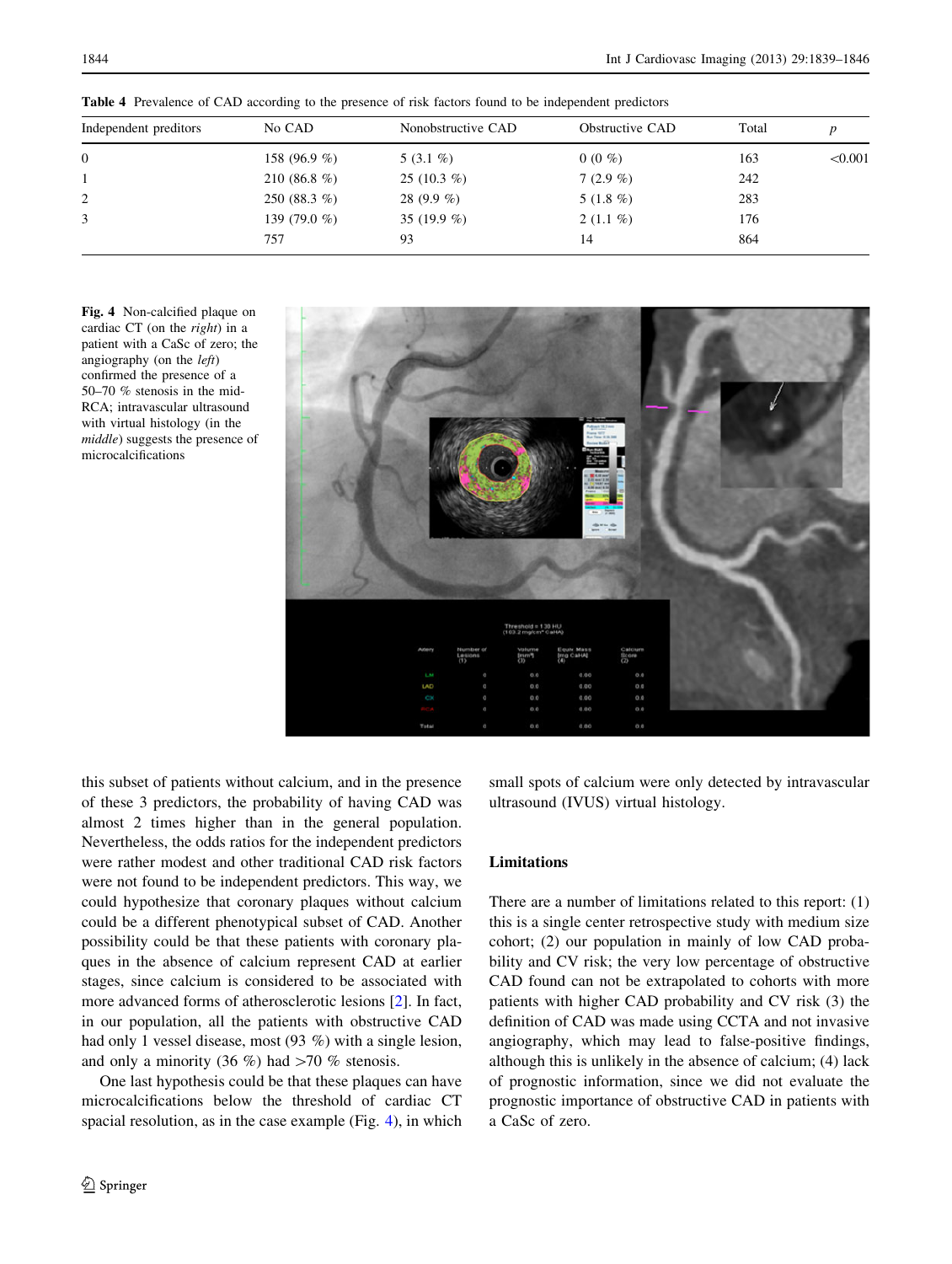| Independent preditors | No CAD          | Nonobstructive CAD | Obstructive CAD | Total |         |
|-----------------------|-----------------|--------------------|-----------------|-------|---------|
| $\overline{0}$        | 158 (96.9 %)    | $5(3.1\%)$         | $0(0\%)$        | 163   | < 0.001 |
|                       | 210 (86.8 %)    | 25 $(10.3 \%)$     | $7(2.9\%)$      | 242   |         |
| 2                     | 250 (88.3 $%$ ) | $28(9.9\%)$        | 5 $(1.8\%)$     | 283   |         |
| 3                     | 139 $(79.0\%$   | 35 $(19.9\%)$      | $2(1.1\%)$      | 176   |         |
|                       | 757             | 93                 | 14              | 864   |         |

<span id="page-5-0"></span>Table 4 Prevalence of CAD according to the presence of risk factors found to be independent predictors

Fig. 4 Non-calcified plaque on cardiac CT (on the right) in a patient with a CaSc of zero; the angiography (on the left) confirmed the presence of a 50–70 % stenosis in the mid-RCA; intravascular ultrasound with virtual histology (in the middle) suggests the presence of microcalcifications



this subset of patients without calcium, and in the presence of these 3 predictors, the probability of having CAD was almost 2 times higher than in the general population. Nevertheless, the odds ratios for the independent predictors were rather modest and other traditional CAD risk factors were not found to be independent predictors. This way, we could hypothesize that coronary plaques without calcium could be a different phenotypical subset of CAD. Another possibility could be that these patients with coronary plaques in the absence of calcium represent CAD at earlier stages, since calcium is considered to be associated with more advanced forms of atherosclerotic lesions [\[2](#page-6-0)]. In fact, in our population, all the patients with obstructive CAD had only 1 vessel disease, most (93 %) with a single lesion, and only a minority (36 %) had  $>70$  % stenosis.

One last hypothesis could be that these plaques can have microcalcifications below the threshold of cardiac CT spacial resolution, as in the case example (Fig. 4), in which small spots of calcium were only detected by intravascular ultrasound (IVUS) virtual histology.

# Limitations

There are a number of limitations related to this report: (1) this is a single center retrospective study with medium size cohort; (2) our population in mainly of low CAD probability and CV risk; the very low percentage of obstructive CAD found can not be extrapolated to cohorts with more patients with higher CAD probability and CV risk (3) the definition of CAD was made using CCTA and not invasive angiography, which may lead to false-positive findings, although this is unlikely in the absence of calcium; (4) lack of prognostic information, since we did not evaluate the prognostic importance of obstructive CAD in patients with a CaSc of zero.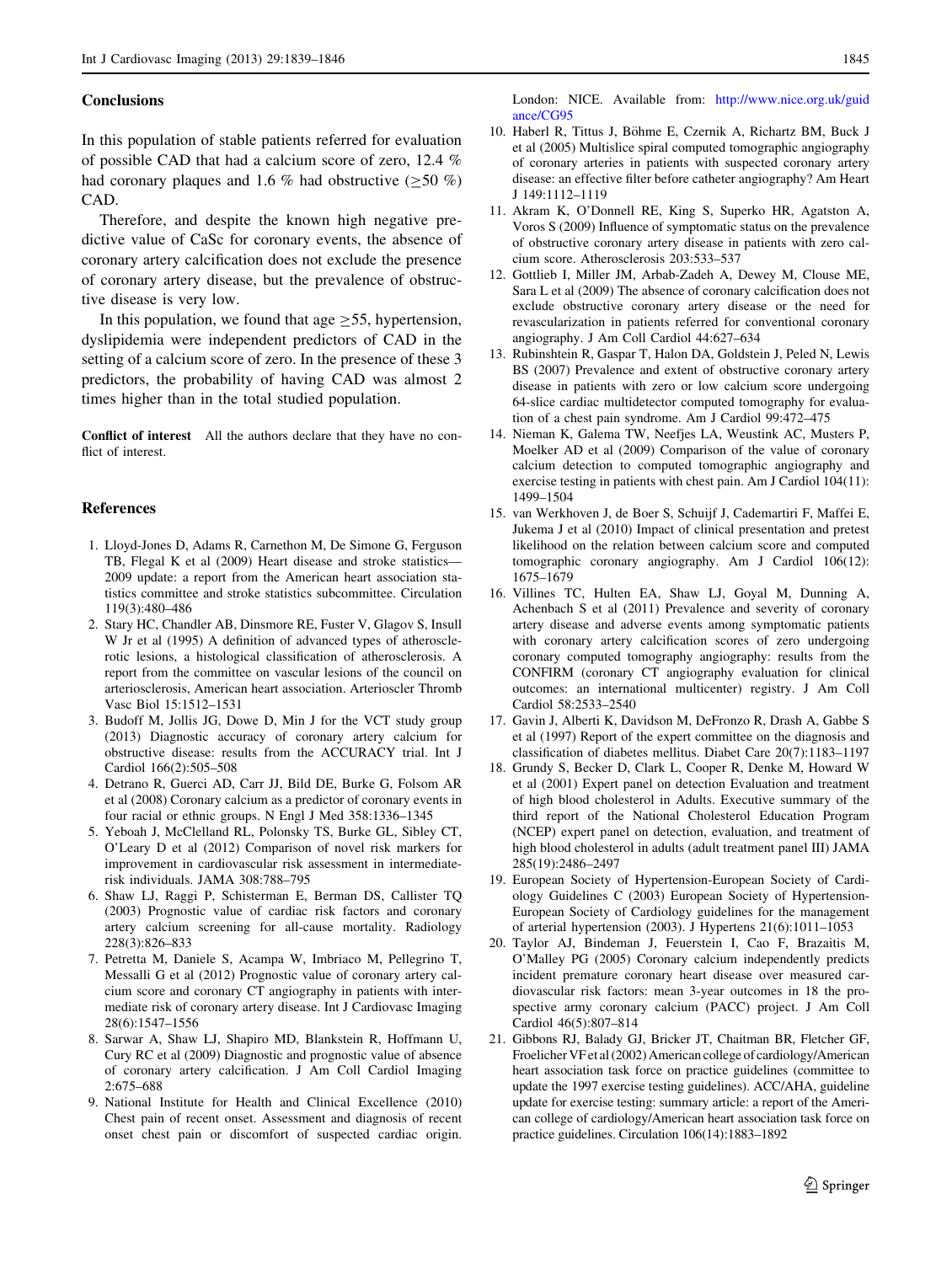#### <span id="page-6-0"></span>**Conclusions**

In this population of stable patients referred for evaluation of possible CAD that had a calcium score of zero, 12.4 % had coronary plaques and 1.6 % had obstructive  $(>50 \%)$ CAD.

Therefore, and despite the known high negative predictive value of CaSc for coronary events, the absence of coronary artery calcification does not exclude the presence of coronary artery disease, but the prevalence of obstructive disease is very low.

In this population, we found that age  $\geq$ 55, hypertension, dyslipidemia were independent predictors of CAD in the setting of a calcium score of zero. In the presence of these 3 predictors, the probability of having CAD was almost 2 times higher than in the total studied population.

Conflict of interest All the authors declare that they have no conflict of interest.

#### References

- 1. Lloyd-Jones D, Adams R, Carnethon M, De Simone G, Ferguson TB, Flegal K et al (2009) Heart disease and stroke statistics— 2009 update: a report from the American heart association statistics committee and stroke statistics subcommittee. Circulation 119(3):480–486
- 2. Stary HC, Chandler AB, Dinsmore RE, Fuster V, Glagov S, Insull W Jr et al (1995) A definition of advanced types of atherosclerotic lesions, a histological classification of atherosclerosis. A report from the committee on vascular lesions of the council on arteriosclerosis, American heart association. Arterioscler Thromb Vasc Biol 15:1512–1531
- 3. Budoff M, Jollis JG, Dowe D, Min J for the VCT study group (2013) Diagnostic accuracy of coronary artery calcium for obstructive disease: results from the ACCURACY trial. Int J Cardiol 166(2):505–508
- 4. Detrano R, Guerci AD, Carr JJ, Bild DE, Burke G, Folsom AR et al (2008) Coronary calcium as a predictor of coronary events in four racial or ethnic groups. N Engl J Med 358:1336–1345
- 5. Yeboah J, McClelland RL, Polonsky TS, Burke GL, Sibley CT, O'Leary D et al (2012) Comparison of novel risk markers for improvement in cardiovascular risk assessment in intermediaterisk individuals. JAMA 308:788–795
- 6. Shaw LJ, Raggi P, Schisterman E, Berman DS, Callister TQ (2003) Prognostic value of cardiac risk factors and coronary artery calcium screening for all-cause mortality. Radiology 228(3):826–833
- 7. Petretta M, Daniele S, Acampa W, Imbriaco M, Pellegrino T, Messalli G et al (2012) Prognostic value of coronary artery calcium score and coronary CT angiography in patients with intermediate risk of coronary artery disease. Int J Cardiovasc Imaging 28(6):1547–1556
- 8. Sarwar A, Shaw LJ, Shapiro MD, Blankstein R, Hoffmann U, Cury RC et al (2009) Diagnostic and prognostic value of absence of coronary artery calcification. J Am Coll Cardiol Imaging 2:675–688
- 9. National Institute for Health and Clinical Excellence (2010) Chest pain of recent onset. Assessment and diagnosis of recent onset chest pain or discomfort of suspected cardiac origin.

London: NICE. Available from: [http://www.nice.org.uk/guid](http://www.nice.org.uk/guidance/CG95) [ance/CG95](http://www.nice.org.uk/guidance/CG95)

- 10. Haberl R, Tittus J, Böhme E, Czernik A, Richartz BM, Buck J et al (2005) Multislice spiral computed tomographic angiography of coronary arteries in patients with suspected coronary artery disease: an effective filter before catheter angiography? Am Heart J 149:1112–1119
- 11. Akram K, O'Donnell RE, King S, Superko HR, Agatston A, Voros S (2009) Influence of symptomatic status on the prevalence of obstructive coronary artery disease in patients with zero calcium score. Atherosclerosis 203:533–537
- 12. Gottlieb I, Miller JM, Arbab-Zadeh A, Dewey M, Clouse ME, Sara L et al (2009) The absence of coronary calcification does not exclude obstructive coronary artery disease or the need for revascularization in patients referred for conventional coronary angiography. J Am Coll Cardiol 44:627–634
- 13. Rubinshtein R, Gaspar T, Halon DA, Goldstein J, Peled N, Lewis BS (2007) Prevalence and extent of obstructive coronary artery disease in patients with zero or low calcium score undergoing 64-slice cardiac multidetector computed tomography for evaluation of a chest pain syndrome. Am J Cardiol 99:472–475
- 14. Nieman K, Galema TW, Neefjes LA, Weustink AC, Musters P, Moelker AD et al (2009) Comparison of the value of coronary calcium detection to computed tomographic angiography and exercise testing in patients with chest pain. Am J Cardiol 104(11): 1499–1504
- 15. van Werkhoven J, de Boer S, Schuijf J, Cademartiri F, Maffei E, Jukema J et al (2010) Impact of clinical presentation and pretest likelihood on the relation between calcium score and computed tomographic coronary angiography. Am J Cardiol 106(12): 1675–1679
- 16. Villines TC, Hulten EA, Shaw LJ, Goyal M, Dunning A, Achenbach S et al (2011) Prevalence and severity of coronary artery disease and adverse events among symptomatic patients with coronary artery calcification scores of zero undergoing coronary computed tomography angiography: results from the CONFIRM (coronary CT angiography evaluation for clinical outcomes: an international multicenter) registry. J Am Coll Cardiol 58:2533–2540
- 17. Gavin J, Alberti K, Davidson M, DeFronzo R, Drash A, Gabbe S et al (1997) Report of the expert committee on the diagnosis and classification of diabetes mellitus. Diabet Care 20(7):1183–1197
- 18. Grundy S, Becker D, Clark L, Cooper R, Denke M, Howard W et al (2001) Expert panel on detection Evaluation and treatment of high blood cholesterol in Adults. Executive summary of the third report of the National Cholesterol Education Program (NCEP) expert panel on detection, evaluation, and treatment of high blood cholesterol in adults (adult treatment panel III) JAMA 285(19):2486–2497
- 19. European Society of Hypertension-European Society of Cardiology Guidelines C (2003) European Society of Hypertension-European Society of Cardiology guidelines for the management of arterial hypertension (2003). J Hypertens 21(6):1011–1053
- 20. Taylor AJ, Bindeman J, Feuerstein I, Cao F, Brazaitis M, O'Malley PG (2005) Coronary calcium independently predicts incident premature coronary heart disease over measured cardiovascular risk factors: mean 3-year outcomes in 18 the prospective army coronary calcium (PACC) project. J Am Coll Cardiol 46(5):807–814
- 21. Gibbons RJ, Balady GJ, Bricker JT, Chaitman BR, Fletcher GF, Froelicher VF et al (2002) American college of cardiology/American heart association task force on practice guidelines (committee to update the 1997 exercise testing guidelines). ACC/AHA, guideline update for exercise testing: summary article: a report of the American college of cardiology/American heart association task force on practice guidelines. Circulation 106(14):1883–1892